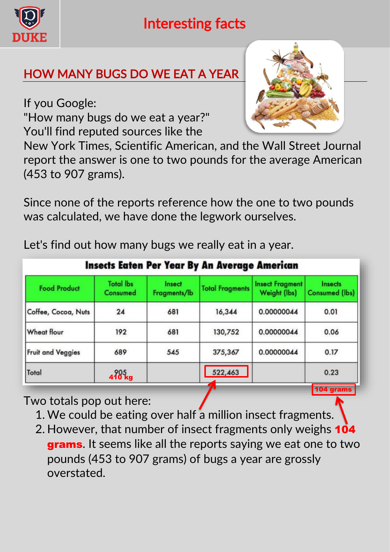

## Interesting facts

## HOW MANY BUGS DO WE EAT A YEAR

If you Google:

"How many bugs do we eat a year?" You'll find reputed sources like the



New York Times, Scientific American, and the Wall Street Journal report the answer is one to two pounds for the average American (453 to 907 grams).

Since none of the reports reference how the one to two pounds was calculated, we have done the legwork ourselves.

Let's find out how many bugs we really eat in a year.

| <b>Insects Eaten Per Year By An Average American</b> |                              |                        |                        |                                        |                                  |
|------------------------------------------------------|------------------------------|------------------------|------------------------|----------------------------------------|----------------------------------|
| <b>Food Product</b>                                  | <b>Total lbs</b><br>Consumed | Insect<br>Fragments/lb | <b>Total Fragments</b> | <b>Insect Fragment</b><br>Weight (lbs) | Insects<br><b>Consumed (lbs)</b> |
| Coffee, Cocoa, Nuts                                  | 24                           | 681                    | 16,344                 | 0.00000044                             | 0.01                             |
| <b>Wheat flour</b>                                   | 192                          | 681                    | 130,752                | 0.00000044                             | 0.06                             |
| <b>Fruit and Veggies</b>                             | 689                          | 545                    | 375,367                | 0.00000044                             | 0.17                             |
| Total                                                | $410^{65}$ kg                |                        | 522,463                |                                        | 0.23                             |
|                                                      |                              |                        |                        |                                        | 104 grams                        |

Two totals pop out here:

- 1. We could be eating over half a million insect fragments.
- 2. However, that number of insect fragments only weighs 104 grams. It seems like all the reports saying we eat one to two pounds (453 to 907 grams) of bugs a year are grossly overstated.